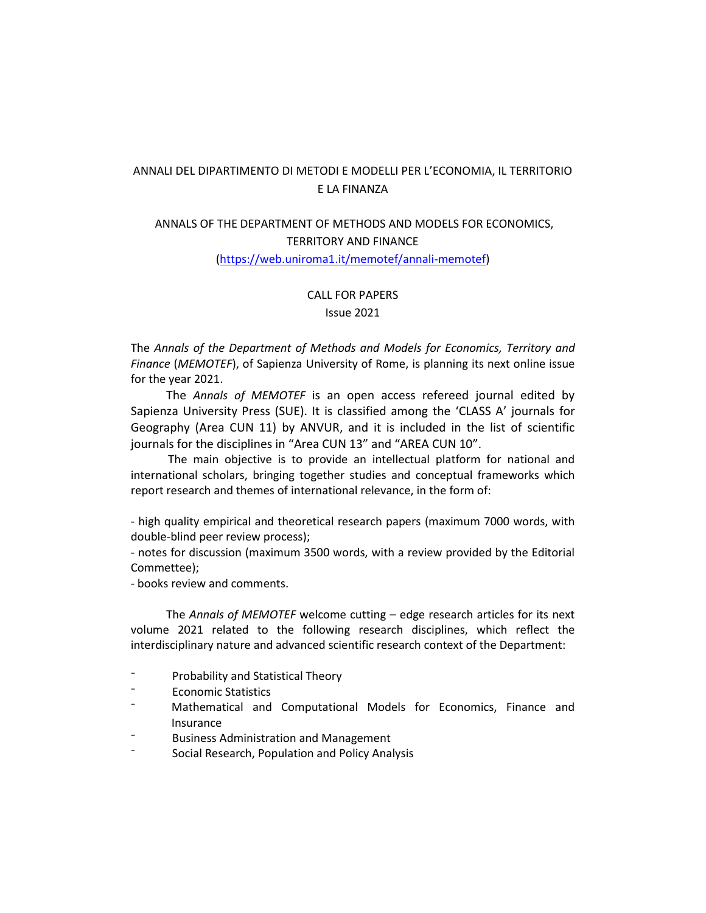## ANNALI DEL DIPARTIMENTO DI METODI E MODELLI PER L'ECONOMIA, IL TERRITORIO E LA FINANZA

## ANNALS OF THE DEPARTMENT OF METHODS AND MODELS FOR ECONOMICS, TERRITORY AND FINANCE

## [\(https://web.uniroma1.it/memotef/annali-memotef\)](https://web.uniroma1.it/memotef/annali-memotef)

## CALL FOR PAPERS

Issue 2021

The *Annals of the Department of Methods and Models for Economics, Territory and Finance* (*MEMOTEF*), of Sapienza University of Rome, is planning its next online issue for the year 2021.

The *Annals of MEMOTEF* is an open access refereed journal edited by Sapienza University Press (SUE). It is classified among the 'CLASS A' journals for Geography (Area CUN 11) by ANVUR, and it is included in the list of scientific journals for the disciplines in "Area CUN 13" and "AREA CUN 10".

 The main objective is to provide an intellectual platform for national and international scholars, bringing together studies and conceptual frameworks which report research and themes of international relevance, in the form of:

- high quality empirical and theoretical research papers (maximum 7000 words, with double-blind peer review process);

- notes for discussion (maximum 3500 words, with a review provided by the Editorial Commettee);

- books review and comments.

The *Annals of MEMOTEF* welcome cutting – edge research articles for its next volume 2021 related to the following research disciplines, which reflect the interdisciplinary nature and advanced scientific research context of the Department:

- Probability and Statistical Theory
- ⁻ Economic Statistics
- Mathematical and Computational Models for Economics, Finance and Insurance
- ⁻ Business Administration and Management
- Social Research, Population and Policy Analysis